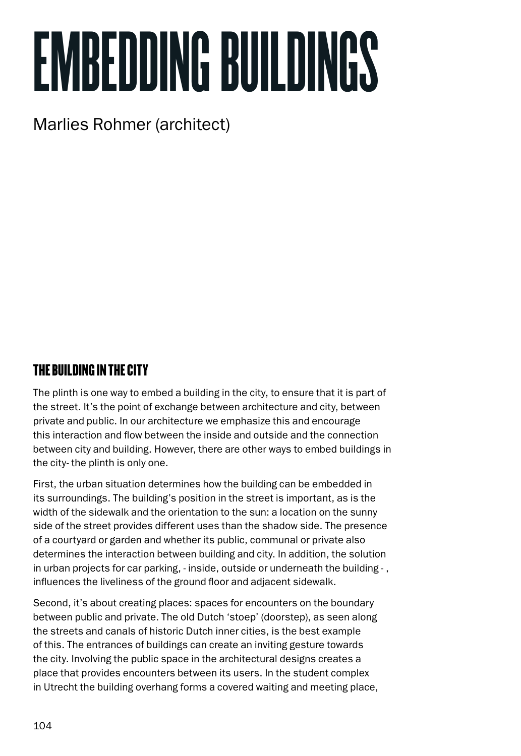# EMBEDDING BUILDINGS

# Marlies Rohmer (architect)

### The building in the city

The plinth is one way to embed a building in the city, to ensure that it is part of the street. It's the point of exchange between architecture and city, between private and public. In our architecture we emphasize this and encourage this interaction and flow between the inside and outside and the connection between city and building. However, there are other ways to embed buildings in the city- the plinth is only one.

First, the urban situation determines how the building can be embedded in its surroundings. The building's position in the street is important, as is the width of the sidewalk and the orientation to the sun: a location on the sunny side of the street provides different uses than the shadow side. The presence of a courtyard or garden and whether its public, communal or private also determines the interaction between building and city. In addition, the solution in urban projects for car parking, - inside, outside or underneath the building - , influences the liveliness of the ground floor and adjacent sidewalk.

Second, it's about creating places: spaces for encounters on the boundary between public and private. The old Dutch 'stoep' (doorstep), as seen along the streets and canals of historic Dutch inner cities, is the best example of this. The entrances of buildings can create an inviting gesture towards the city. Involving the public space in the architectural designs creates a place that provides encounters between its users. In the student complex in Utrecht the building overhang forms a covered waiting and meeting place,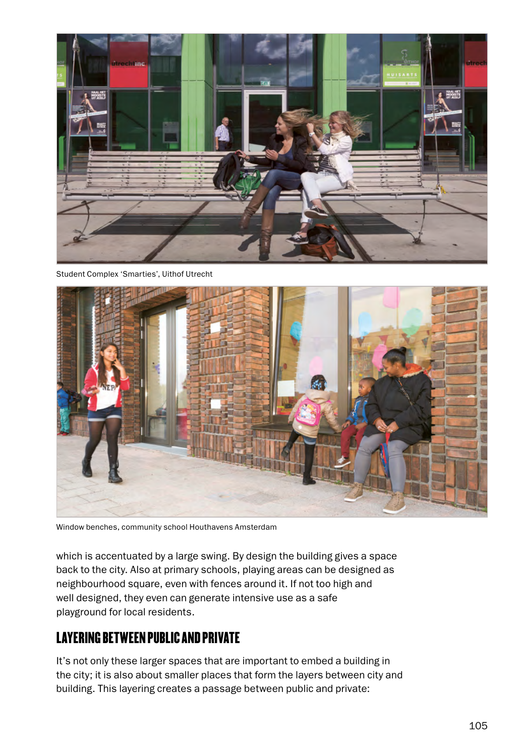

Student Complex 'Smarties', Uithof Utrecht



Window benches, community school Houthavens Amsterdam

which is accentuated by a large swing. By design the building gives a space back to the city. Also at primary schools, playing areas can be designed as neighbourhood square, even with fences around it. If not too high and well designed, they even can generate intensive use as a safe playground for local residents.

#### Layering between public and private

It's not only these larger spaces that are important to embed a building in the city; it is also about smaller places that form the layers between city and building. This layering creates a passage between public and private: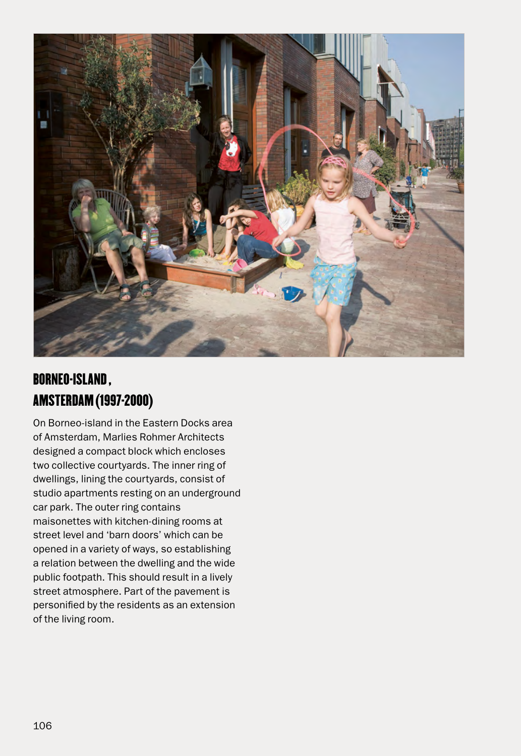

## Borneo-island , Amsterdam (1997-2000)

On Borneo-island in the Eastern Docks area of Amsterdam, Marlies Rohmer Architects designed a compact block which encloses two collective courtyards. The inner ring of dwellings, lining the courtyards, consist of studio apartments resting on an underground car park. The outer ring contains maisonettes with kitchen-dining rooms at street level and 'barn doors' which can be opened in a variety of ways, so establishing a relation between the dwelling and the wide public footpath. This should result in a lively street atmosphere. Part of the pavement is personified by the residents as an extension of the living room.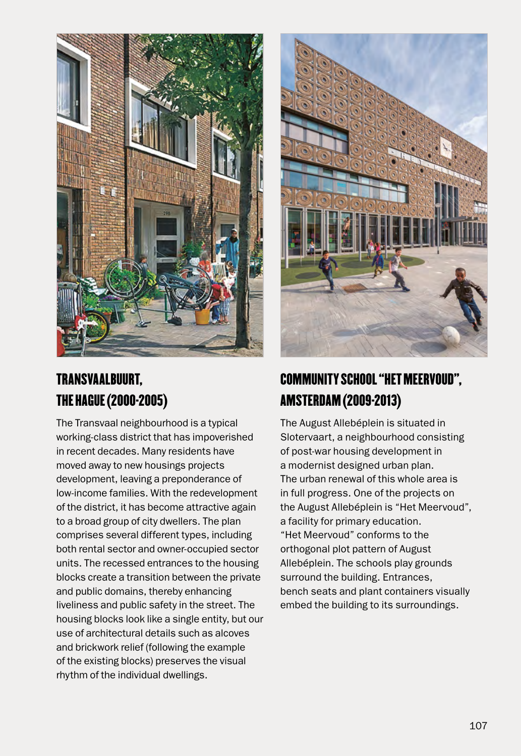

## Transvaalbuurt, The Hague (2000-2005)

The Transvaal neighbourhood is a typical working-class district that has impoverished in recent decades. Many residents have moved away to new housings projects development, leaving a preponderance of low-income families. With the redevelopment of the district, it has become attractive again to a broad group of city dwellers. The plan comprises several different types, including both rental sector and owner-occupied sector units. The recessed entrances to the housing blocks create a transition between the private and public domains, thereby enhancing liveliness and public safety in the street. The housing blocks look like a single entity, but our use of architectural details such as alcoves and brickwork relief (following the example of the existing blocks) preserves the visual rhythm of the individual dwellings.



## COMMUNITY SCHOOL "HET MEERVOUD". AMSTERDAM (2009-2013)

The August Allebéplein is situated in Slotervaart, a neighbourhood consisting of post-war housing development in a modernist designed urban plan. The urban renewal of this whole area is in full progress. One of the projects on the August Allebéplein is "Het Meervoud", a facility for primary education. "Het Meervoud" conforms to the orthogonal plot pattern of August Allebéplein. The schools play grounds surround the building. Entrances, bench seats and plant containers visually embed the building to its surroundings.